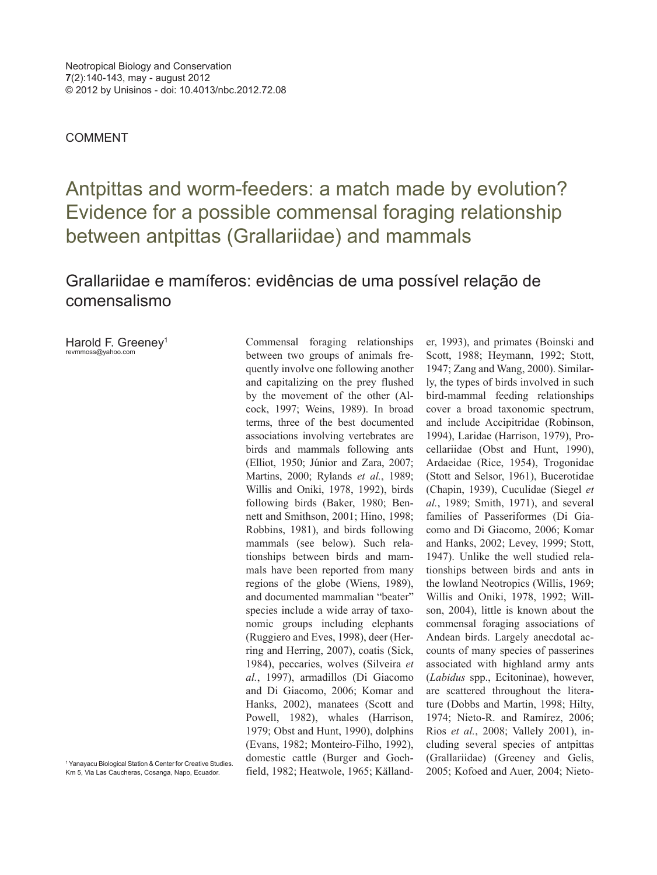COMMENT

Antpittas and worm-feeders: a match made by evolution? Evidence for a possible commensal foraging relationship between antpittas (Grallariidae) and mammals

## Grallariidae e mamíferos: evidências de uma possível relação de comensalismo

Harold F. Greenev<sup>1</sup> revmmoss@yahoo.com

Commensal foraging relationships between two groups of animals frequently involve one following another and capitalizing on the prey flushed by the movement of the other (Alcock, 1997; Weins, 1989). In broad terms, three of the best documented associations involving vertebrates are birds and mammals following ants (Elliot, 1950; Júnior and Zara, 2007; Martins, 2000; Rylands *et al.*, 1989; Willis and Oniki, 1978, 1992), birds following birds (Baker, 1980; Bennett and Smithson, 2001; Hino, 1998; Robbins, 1981), and birds following mammals (see below). Such relationships between birds and mammals have been reported from many regions of the globe (Wiens, 1989), and documented mammalian "beater" species include a wide array of taxonomic groups including elephants (Ruggiero and Eves, 1998), deer (Herring and Herring, 2007), coatis (Sick, 1984), peccaries, wolves (Silveira *et al.*, 1997), armadillos (Di Giacomo and Di Giacomo, 2006; Komar and Hanks, 2002), manatees (Scott and Powell, 1982), whales (Harrison, 1979; Obst and Hunt, 1990), dolphins (Evans, 1982; Monteiro-Filho, 1992), domestic cattle (Burger and Gochfield, 1982; Heatwole, 1965; Källander, 1993), and primates (Boinski and Scott, 1988; Heymann, 1992; Stott, 1947; Zang and Wang, 2000). Similarly, the types of birds involved in such bird-mammal feeding relationships cover a broad taxonomic spectrum, and include Accipitridae (Robinson, 1994), Laridae (Harrison, 1979), Procellariidae (Obst and Hunt, 1990), Ardaeidae (Rice, 1954), Trogonidae (Stott and Selsor, 1961), Bucerotidae (Chapin, 1939), Cuculidae (Siegel *et al.*, 1989; Smith, 1971), and several families of Passeriformes (Di Giacomo and Di Giacomo, 2006; Komar and Hanks, 2002; Levey, 1999; Stott, 1947). Unlike the well studied relationships between birds and ants in the lowland Neotropics (Willis, 1969; Willis and Oniki, 1978, 1992; Willson, 2004), little is known about the commensal foraging associations of Andean birds. Largely anecdotal accounts of many species of passerines associated with highland army ants (*Labidus* spp., Ecitoninae), however, are scattered throughout the literature (Dobbs and Martin, 1998; Hilty, 1974; Nieto-R. and Ramírez, 2006; Rios *et al.*, 2008; Vallely 2001), including several species of antpittas (Grallariidae) (Greeney and Gelis, 2005; Kofoed and Auer, 2004; Nieto-

<sup>1</sup> Yanayacu Biological Station & Center for Creative Studies. Km 5, Via Las Caucheras, Cosanga, Napo, Ecuador.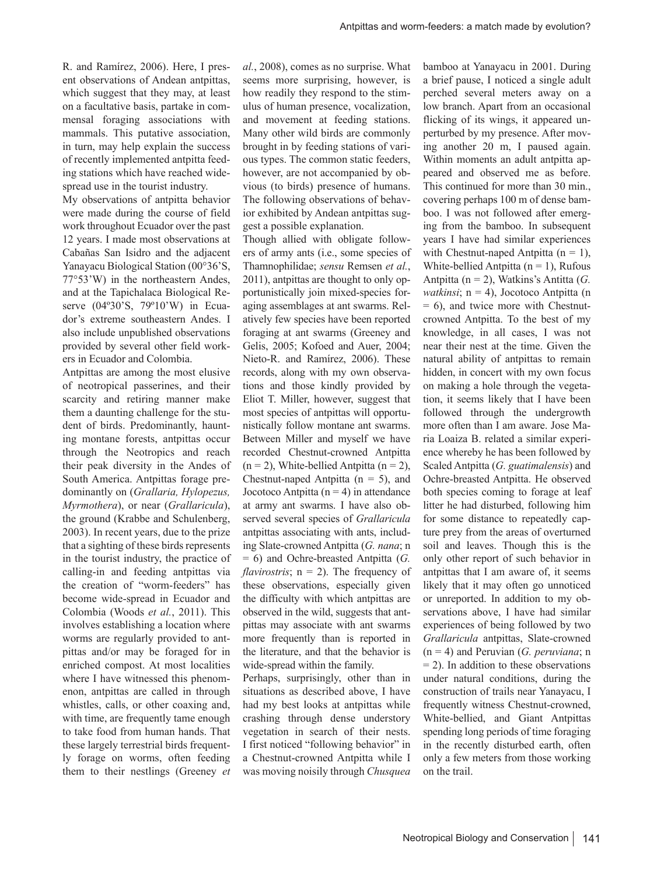R. and Ramírez, 2006). Here, I present observations of Andean antpittas, which suggest that they may, at least on a facultative basis, partake in commensal foraging associations with mammals. This putative association, in turn, may help explain the success of recently implemented antpitta feeding stations which have reached widespread use in the tourist industry.

My observations of antpitta behavior were made during the course of field work throughout Ecuador over the past 12 years. I made most observations at Cabañas San Isidro and the adjacent Yanayacu Biological Station (00°36'S, 77°53'W) in the northeastern Andes, and at the Tapichalaca Biological Reserve (04º30'S, 79º10'W) in Ecuador's extreme southeastern Andes. I also include unpublished observations provided by several other field workers in Ecuador and Colombia.

Antpittas are among the most elusive of neotropical passerines, and their scarcity and retiring manner make them a daunting challenge for the student of birds. Predominantly, haunting montane forests, antpittas occur through the Neotropics and reach their peak diversity in the Andes of South America. Antpittas forage predominantly on (*Grallaria, Hylopezus, Myrmothera*), or near (*Grallaricula*), the ground (Krabbe and Schulenberg, 2003). In recent years, due to the prize that a sighting of these birds represents in the tourist industry, the practice of calling-in and feeding antpittas via the creation of "worm-feeders" has become wide-spread in Ecuador and Colombia (Woods *et al.*, 2011). This involves establishing a location where worms are regularly provided to antpittas and/or may be foraged for in enriched compost. At most localities where I have witnessed this phenomenon, antpittas are called in through whistles, calls, or other coaxing and, with time, are frequently tame enough to take food from human hands. That these largely terrestrial birds frequently forage on worms, often feeding them to their nestlings (Greeney *et*  *al.*, 2008), comes as no surprise. What seems more surprising, however, is how readily they respond to the stimulus of human presence, vocalization, and movement at feeding stations. Many other wild birds are commonly brought in by feeding stations of various types. The common static feeders, however, are not accompanied by obvious (to birds) presence of humans. The following observations of behavior exhibited by Andean antpittas suggest a possible explanation.

Though allied with obligate followers of army ants (i.e., some species of Thamnophilidae; *sensu* Remsen *et al.*, 2011), antpittas are thought to only opportunistically join mixed-species foraging assemblages at ant swarms. Relatively few species have been reported foraging at ant swarms (Greeney and Gelis, 2005; Kofoed and Auer, 2004; Nieto-R. and Ramírez, 2006). These records, along with my own observations and those kindly provided by Eliot T. Miller, however, suggest that most species of antpittas will opportunistically follow montane ant swarms. Between Miller and myself we have recorded Chestnut-crowned Antpitta  $(n = 2)$ , White-bellied Antpitta  $(n = 2)$ , Chestnut-naped Antpitta  $(n = 5)$ , and Jocotoco Antpitta ( $n = 4$ ) in attendance at army ant swarms. I have also observed several species of *Grallaricula* antpittas associating with ants, including Slate-crowned Antpitta (*G. nana*; n = 6) and Ochre-breasted Antpitta (*G. flavirostris*; n = 2). The frequency of these observations, especially given the difficulty with which antpittas are observed in the wild, suggests that antpittas may associate with ant swarms more frequently than is reported in the literature, and that the behavior is wide-spread within the family.

Perhaps, surprisingly, other than in situations as described above, I have had my best looks at antpittas while crashing through dense understory vegetation in search of their nests. I first noticed "following behavior" in a Chestnut-crowned Antpitta while I was moving noisily through *Chusquea* bamboo at Yanayacu in 2001. During a brief pause, I noticed a single adult perched several meters away on a low branch. Apart from an occasional flicking of its wings, it appeared unperturbed by my presence. After moving another 20 m, I paused again. Within moments an adult antpitta appeared and observed me as before. This continued for more than 30 min., covering perhaps 100 m of dense bamboo. I was not followed after emerging from the bamboo. In subsequent years I have had similar experiences with Chestnut-naped Antpitta  $(n = 1)$ , White-bellied Antpitta  $(n = 1)$ , Rufous Antpitta (n = 2), Watkins's Antitta (*G. watkinsi*; n = 4), Jocotoco Antpitta (n  $= 6$ ), and twice more with Chestnutcrowned Antpitta. To the best of my knowledge, in all cases, I was not near their nest at the time. Given the natural ability of antpittas to remain hidden, in concert with my own focus on making a hole through the vegetation, it seems likely that I have been followed through the undergrowth more often than I am aware. Jose Maria Loaiza B. related a similar experience whereby he has been followed by Scaled Antpitta (*G. guatimalensis*) and Ochre-breasted Antpitta. He observed both species coming to forage at leaf litter he had disturbed, following him for some distance to repeatedly capture prey from the areas of overturned soil and leaves. Though this is the only other report of such behavior in antpittas that I am aware of, it seems likely that it may often go unnoticed or unreported. In addition to my observations above, I have had similar experiences of being followed by two *Grallaricula* antpittas, Slate-crowned (n = 4) and Peruvian (*G. peruviana*; n  $= 2$ ). In addition to these observations under natural conditions, during the construction of trails near Yanayacu, I frequently witness Chestnut-crowned, White-bellied, and Giant Antpittas spending long periods of time foraging in the recently disturbed earth, often only a few meters from those working on the trail.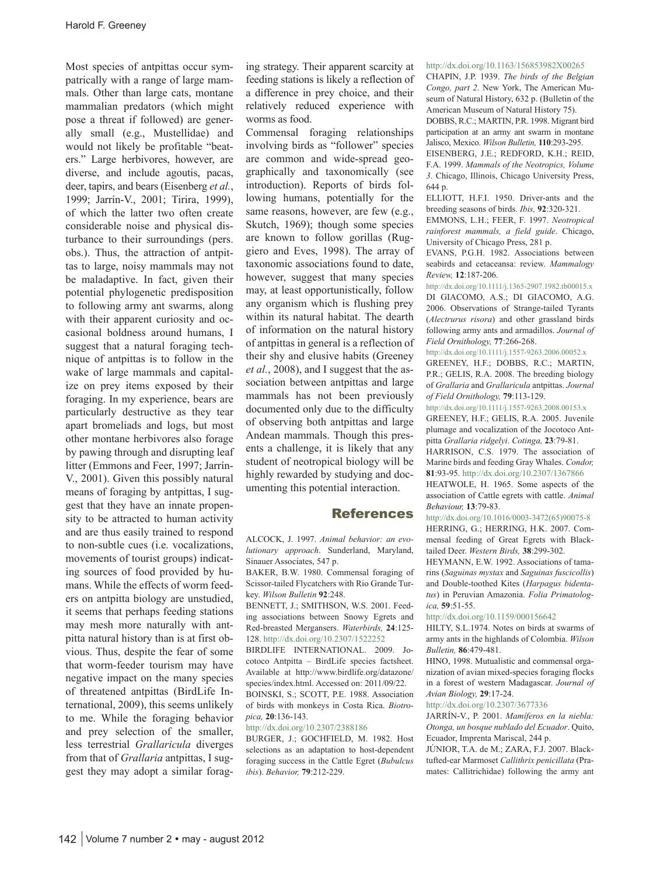Most species of antpittas occur sympatrically with a range of large mammals. Other than large cats, montane mammalian predators (which might pose a threat if followed) are generally small (e.g., Mustellidae) and would not likely be profitable "beaters." Large herbivores, however, are diverse, and include agoutis, pacas, deer, tapirs, and bears (Eisenberg *et al.*, 1999; Jarrín-V., 2001; Tirira, 1999), of which the latter two often create considerable noise and physical disturbance to their surroundings (pers. obs.). Thus, the attraction of antpittas to large, noisy mammals may not be maladaptive. In fact, given their potential phylogenetic predisposition to following army ant swarms, along with their apparent curiosity and occasional boldness around humans, I suggest that a natural foraging technique of antpittas is to follow in the wake of large mammals and capitalize on prey items exposed by their foraging. In my experience, bears are particularly destructive as they tear apart bromeliads and logs, but most other montane herbivores also forage by pawing through and disrupting leaf litter (Emmons and Feer, 1997; Jarrín-V., 2001). Given this possibly natural means of foraging by antpittas, I suggest that they have an innate propensity to be attracted to human activity and are thus easily trained to respond to non-subtle cues (i.e. vocalizations, movements of tourist groups) indicating sources of food provided by humans. While the effects of worm feeders on antpitta biology are unstudied, it seems that perhaps feeding stations may mesh more naturally with antpitta natural history than is at first obvious. Thus, despite the fear of some that worm-feeder tourism may have negative impact on the many species of threatened antpittas (BirdLife International, 2009), this seems unlikely to me. While the foraging behavior and prey selection of the smaller, less terrestrial *Grallaricula* diverges from that of *Grallaria* antpittas, I suggest they may adopt a similar forag-

ing strategy. Their apparent scarcity at feeding stations is likely a reflection of a difference in prey choice, and their relatively reduced experience with worms as food.

Commensal foraging relationships involving birds as "follower" species are common and wide-spread geographically and taxonomically (see introduction). Reports of birds following humans, potentially for the same reasons, however, are few (e.g., Skutch, 1969); though some species are known to follow gorillas (Ruggiero and Eves, 1998). The array of taxonomic associations found to date, however, suggest that many species may, at least opportunistically, follow any organism which is flushing prey within its natural habitat. The dearth of information on the natural history of antpittas in general is a reflection of their shy and elusive habits (Greeney *et al.*, 2008), and I suggest that the association between antpittas and large mammals has not been previously documented only due to the difficulty of observing both antpittas and large Andean mammals. Though this presents a challenge, it is likely that any student of neotropical biology will be highly rewarded by studying and documenting this potential interaction.

## **References**

ALCOCK, J. 1997. *Animal behavior: an evolutionary approach*. Sunderland, Maryland, Sinauer Associates, 547 p.

BAKER, B.W. 1980. Commensal foraging of Scissor-tailed Flycatchers with Rio Grande Turkey. *Wilson Bulletin* **92**:248.

BENNETT, J.; SMITHSON, W.S. 2001. Feeding associations between Snowy Egrets and Red-breasted Mergansers. *Waterbirds,* **24**:125- 128. http://dx.doi.org/10.2307/1522252

BIRDLIFE INTERNATIONAL. 2009. Jocotoco Antpitta – BirdLife species factsheet. Available at http://www.birdlife.org/datazone/ species/index.html. Accessed on: 2011/09/22. BOINSKI, S.; SCOTT, P.E. 1988. Association of birds with monkeys in Costa Rica. *Biotro-*

*pica,* **20**:136-143.

http://dx.doi.org/10.2307/2388186 BURGER, J.; GOCHFIELD, M. 1982. Host selections as an adaptation to host-dependent foraging success in the Cattle Egret (*Bubulcus ibis*). *Behavior,* **79**:212-229.

## http://dx.doi.org/10.1163/156853982X00265

CHAPIN, J.P. 1939. *The birds of the Belgian Congo, part 2*. New York, The American Museum of Natural History, 632 p. (Bulletin of the American Museum of Natural History 75). DOBBS, R.C.; MARTIN, P.R. 1998. Migrant bird participation at an army ant swarm in montane Jalisco, Mexico. *Wilson Bulletin,* **110**:293-295. EISENBERG, J.E.; REDFORD, K.H.; REID, F.A. 1999. *Mammals of the Neotropics, Volume 3*. Chicago, Illinois, Chicago University Press, 644 p.

ELLIOTT, H.F.I. 1950. Driver-ants and the breeding seasons of birds. *Ibis,* **92**:320-321.

EMMONS, L.H.; FEER, F. 1997. *Neotropical rainforest mammals, a field guide*. Chicago, University of Chicago Press, 281 p.

EVANS, P.G.H. 1982. Associations between seabirds and cetaceansa: review. *Mammalogy Review,* **12**:187-206.

http://dx.doi.org/10.1111/j.1365-2907.1982.tb00015.x DI GIACOMO, A.S.; DI GIACOMO, A.G. 2006. Observations of Strange-tailed Tyrants (*Alectrurus risora*) and other grassland birds following army ants and armadillos. *Journal of Field Ornithology,* **77**:266-268.

http://dx.doi.org/10.1111/j.1557-9263.2006.00052.x

GREENEY, H.F.; DOBBS, R.C.; MARTIN, P.R.; GELIS, R.A. 2008. The breeding biology of *Grallaria* and *Grallaricula* antpittas. *Journal of Field Ornithology,* **79**:113-129.

http://dx.doi.org/10.1111/j.1557-9263.2008.00153.x

GREENEY, H.F.; GELIS, R.A. 2005. Juvenile plumage and vocalization of the Jocotoco Antpitta *Grallaria ridgelyi*. *Cotinga,* **23**:79-81.

HARRISON, C.S. 1979. The association of Marine birds and feeding Gray Whales. *Condor,* **81**:93-95. http://dx.doi.org/10.2307/1367866

HEATWOLE, H. 1965. Some aspects of the association of Cattle egrets with cattle. *Animal Behaviour,* **13**:79-83.

http://dx.doi.org/10.1016/0003-3472(65)90075-8

HERRING, G.; HERRING, H.K. 2007. Commensal feeding of Great Egrets with Blacktailed Deer. *Western Birds,* **38**:299-302.

HEYMANN, E.W. 1992. Associations of tamarins (*Saguinas mystax* and *Saguinas fuscicollis*) and Double-toothed Kites (*Harpagus bidentatus*) in Peruvian Amazonia. *Folia Primatologica,* **59**:51-55.

http://dx.doi.org/10.1159/000156642

HILTY, S.L.1974. Notes on birds at swarms of army ants in the highlands of Colombia. *Wilson Bulletin,* **86**:479-481.

HINO, 1998. Mutualistic and commensal organization of avian mixed-species foraging flocks in a forest of western Madagascar. *Journal of Avian Biology,* **29**:17-24.

http://dx.doi.org/10.2307/3677336

JARRÍN-V., P. 2001. *Mamíferos en la niebla: Otonga, un bosque nublado del Ecuador*. Quito, Ecuador, Imprenta Mariscal, 244 p.

JÚNIOR, T.A. de M.; ZARA, F.J. 2007. Blacktufted-ear Marmoset *Callithrix penicillata* (Pramates: Callitrichidae) following the army ant